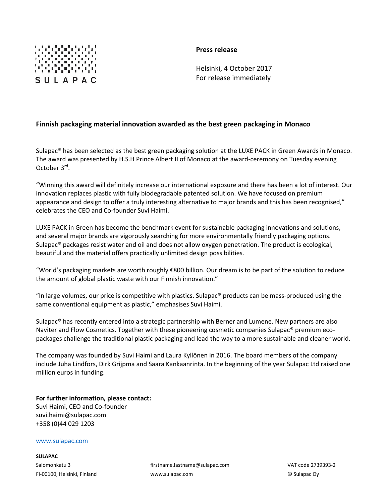

## **Press release**

Helsinki, 4 October 2017 For release immediately

## **Finnish packaging material innovation awarded as the best green packaging in Monaco**

Sulapac® has been selected as the best green packaging solution at the LUXE PACK in Green Awards in Monaco. The award was presented by H.S.H Prince Albert II of Monaco at the award-ceremony on Tuesday evening October 3<sup>rd</sup>.

"Winning this award will definitely increase our international exposure and there has been a lot of interest. Our innovation replaces plastic with fully biodegradable patented solution. We have focused on premium appearance and design to offer a truly interesting alternative to major brands and this has been recognised," celebrates the CEO and Co-founder Suvi Haimi.

LUXE PACK in Green has become the benchmark event for sustainable packaging innovations and solutions, and several major brands are vigorously searching for more environmentally friendly packaging options. Sulapac® packages resist water and oil and does not allow oxygen penetration. The product is ecological, beautiful and the material offers practically unlimited design possibilities.

"World's packaging markets are worth roughly €800 billion. Our dream is to be part of the solution to reduce the amount of global plastic waste with our Finnish innovation."

"In large volumes, our price is competitive with plastics. Sulapac® products can be mass-produced using the same conventional equipment as plastic," emphasises Suvi Haimi.

Sulapac® has recently entered into a strategic partnership with Berner and Lumene. New partners are also Naviter and Flow Cosmetics. Together with these pioneering cosmetic companies Sulapac® premium ecopackages challenge the traditional plastic packaging and lead the way to a more sustainable and cleaner world.

The company was founded by Suvi Haimi and Laura Kyllönen in 2016. The board members of the company include Juha Lindfors, Dirk Grijpma and Saara Kankaanrinta. In the beginning of the year Sulapac Ltd raised one million euros in funding.

**For further information, please contact:**  Suvi Haimi, CEO and Co-founder suvi.haimi@sulapac.com +358 (0)44 029 1203

## [www.sulapac.com](http://www.sulapac.com/)

**SULAPAC**

Salomonkatu 3 firstname.lastname@sulapac.com VAT code 2739393-2 FI-00100, Helsinki, Finland www.sulapac.com © Sulapac Oy